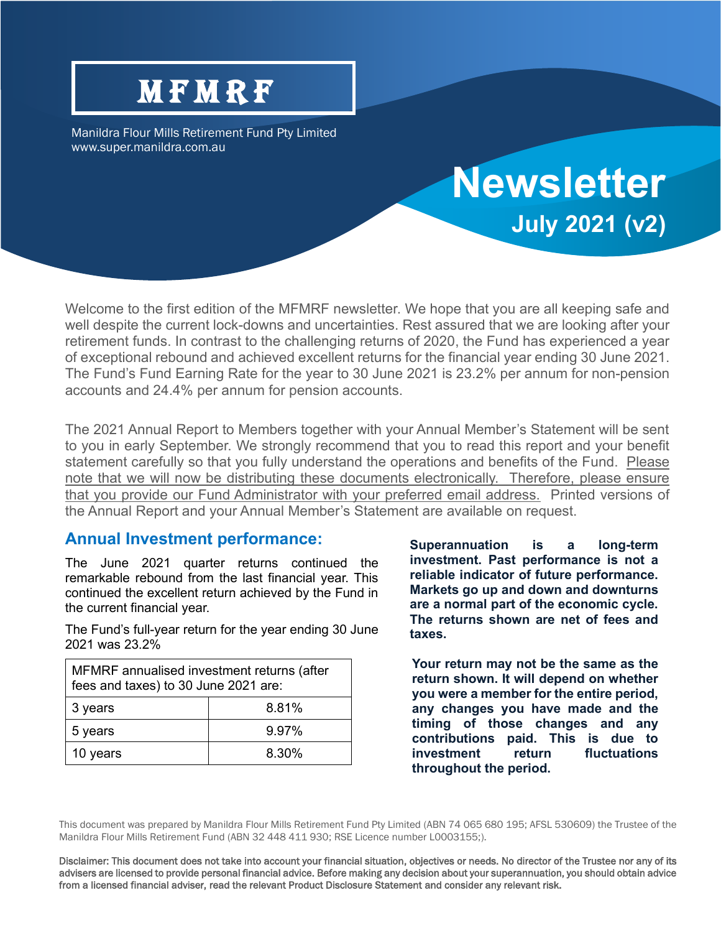# **MFMRF**

Manildra Flour Mills Retirement Fund Pty Limited www.super.manildra.com.au

## Welcome to the first edition of the MFMRF newsletter. We hope that you are all keeping safe and well despite the current lock-downs and uncertainties. Rest assured that we are looking after your retirement funds. In contrast to the challenging returns of 2020, the Fund has experienced a year of exceptional rebound and achieved excellent returns for the financial year ending 30 June 2021. The Fund's Fund Earning Rate for the year to 30 June 2021 is 23.2% per annum for non-pension accounts and 24.4% per annum for pension accounts.

The 2021 Annual Report to Members together with your Annual Member's Statement will be sent to you in early September. We strongly recommend that you to read this report and your benefit statement carefully so that you fully understand the operations and benefits of the Fund. Please note that we will now be distributing these documents electronically. Therefore, please ensure that you provide our Fund Administrator with your preferred email address. Printed versions of the Annual Report and your Annual Member's Statement are available on request.

## **Annual Investment performance:**

The June 2021 quarter returns continued the remarkable rebound from the last financial year. This continued the excellent return achieved by the Fund in the current financial year.

The Fund's full-year return for the year ending 30 June 2021 was 23.2%

| MFMRF annualised investment returns (after<br>fees and taxes) to 30 June 2021 are: |       |
|------------------------------------------------------------------------------------|-------|
| 3 years                                                                            | 8.81% |
| 5 years                                                                            | 9.97% |
| 10 years                                                                           | 8.30% |

**Superannuation is a long-term investment. Past performance is not a reliable indicator of future performance. Markets go up and down and downturns are a normal part of the economic cycle. The returns shown are net of fees and taxes.**

**Newsletter**

**July 2021 (v2)**

**Your return may not be the same as the return shown. It will depend on whether you were a member for the entire period, any changes you have made and the timing of those changes and any contributions paid. This is due to investment return fluctuations throughout the period.**

Disclaimer: This document does not take into account your financial situation, objectives or needs. No director of the Trustee nor any of its advisers are licensed to provide personal financial advice. Before making any decision about your superannuation, you should obtain advice from a licensed financial adviser, read the relevant Product Disclosure Statement and consider any relevant risk.

This document was prepared by Manildra Flour Mills Retirement Fund Pty Limited (ABN 74 065 680 195; AFSL 530609) the Trustee of the Manildra Flour Mills Retirement Fund (ABN 32 448 411 930; RSE Licence number L0003155;).